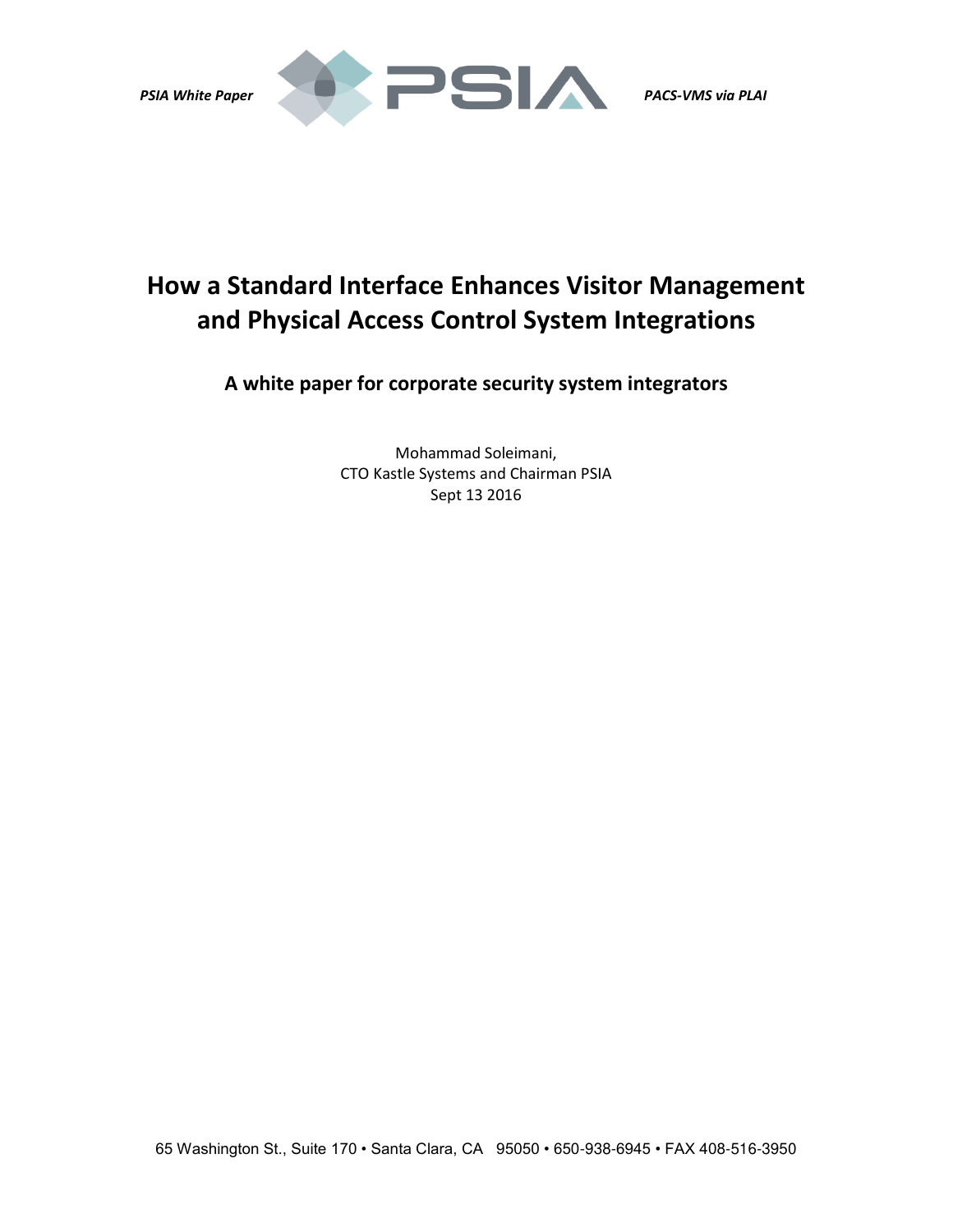



# **How a Standard Interface Enhances Visitor Management and Physical Access Control System Integrations**

**A white paper for corporate security system integrators** 

Mohammad Soleimani, CTO Kastle Systems and Chairman PSIA Sept 13 2016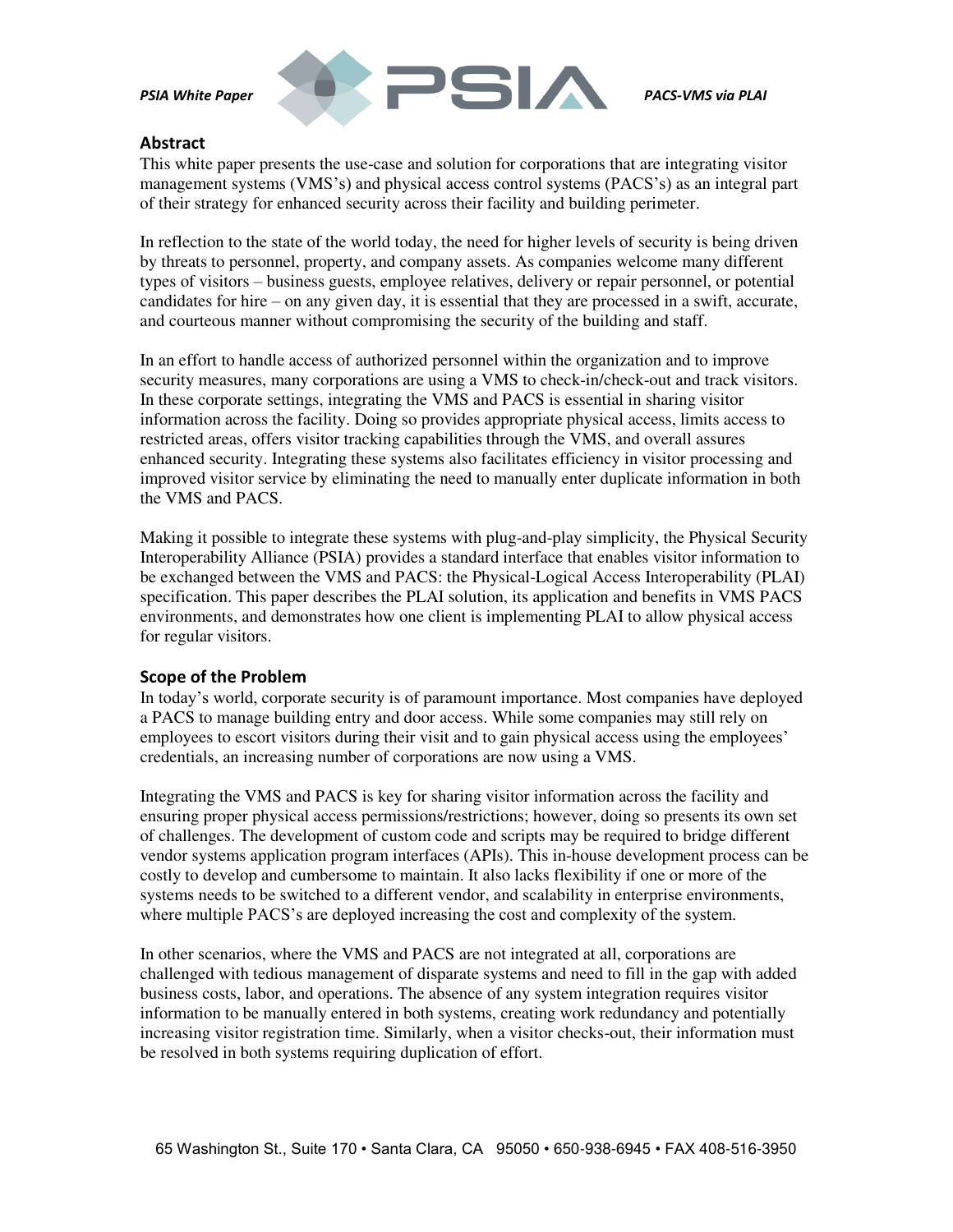

### **Abstract**

This white paper presents the use-case and solution for corporations that are integrating visitor management systems (VMS's) and physical access control systems (PACS's) as an integral part of their strategy for enhanced security across their facility and building perimeter.

In reflection to the state of the world today, the need for higher levels of security is being driven by threats to personnel, property, and company assets. As companies welcome many different types of visitors – business guests, employee relatives, delivery or repair personnel, or potential candidates for hire – on any given day, it is essential that they are processed in a swift, accurate, and courteous manner without compromising the security of the building and staff.

In an effort to handle access of authorized personnel within the organization and to improve security measures, many corporations are using a VMS to check-in/check-out and track visitors. In these corporate settings, integrating the VMS and PACS is essential in sharing visitor information across the facility. Doing so provides appropriate physical access, limits access to restricted areas, offers visitor tracking capabilities through the VMS, and overall assures enhanced security. Integrating these systems also facilitates efficiency in visitor processing and improved visitor service by eliminating the need to manually enter duplicate information in both the VMS and PACS.

Making it possible to integrate these systems with plug-and-play simplicity, the Physical Security Interoperability Alliance (PSIA) provides a standard interface that enables visitor information to be exchanged between the VMS and PACS: the Physical-Logical Access Interoperability (PLAI) specification. This paper describes the PLAI solution, its application and benefits in VMS PACS environments, and demonstrates how one client is implementing PLAI to allow physical access for regular visitors.

# **Scope of the Problem**

In today's world, corporate security is of paramount importance. Most companies have deployed a PACS to manage building entry and door access. While some companies may still rely on employees to escort visitors during their visit and to gain physical access using the employees' credentials, an increasing number of corporations are now using a VMS.

Integrating the VMS and PACS is key for sharing visitor information across the facility and ensuring proper physical access permissions/restrictions; however, doing so presents its own set of challenges. The development of custom code and scripts may be required to bridge different vendor systems application program interfaces (APIs). This in-house development process can be costly to develop and cumbersome to maintain. It also lacks flexibility if one or more of the systems needs to be switched to a different vendor, and scalability in enterprise environments, where multiple PACS's are deployed increasing the cost and complexity of the system.

In other scenarios, where the VMS and PACS are not integrated at all, corporations are challenged with tedious management of disparate systems and need to fill in the gap with added business costs, labor, and operations. The absence of any system integration requires visitor information to be manually entered in both systems, creating work redundancy and potentially increasing visitor registration time. Similarly, when a visitor checks-out, their information must be resolved in both systems requiring duplication of effort.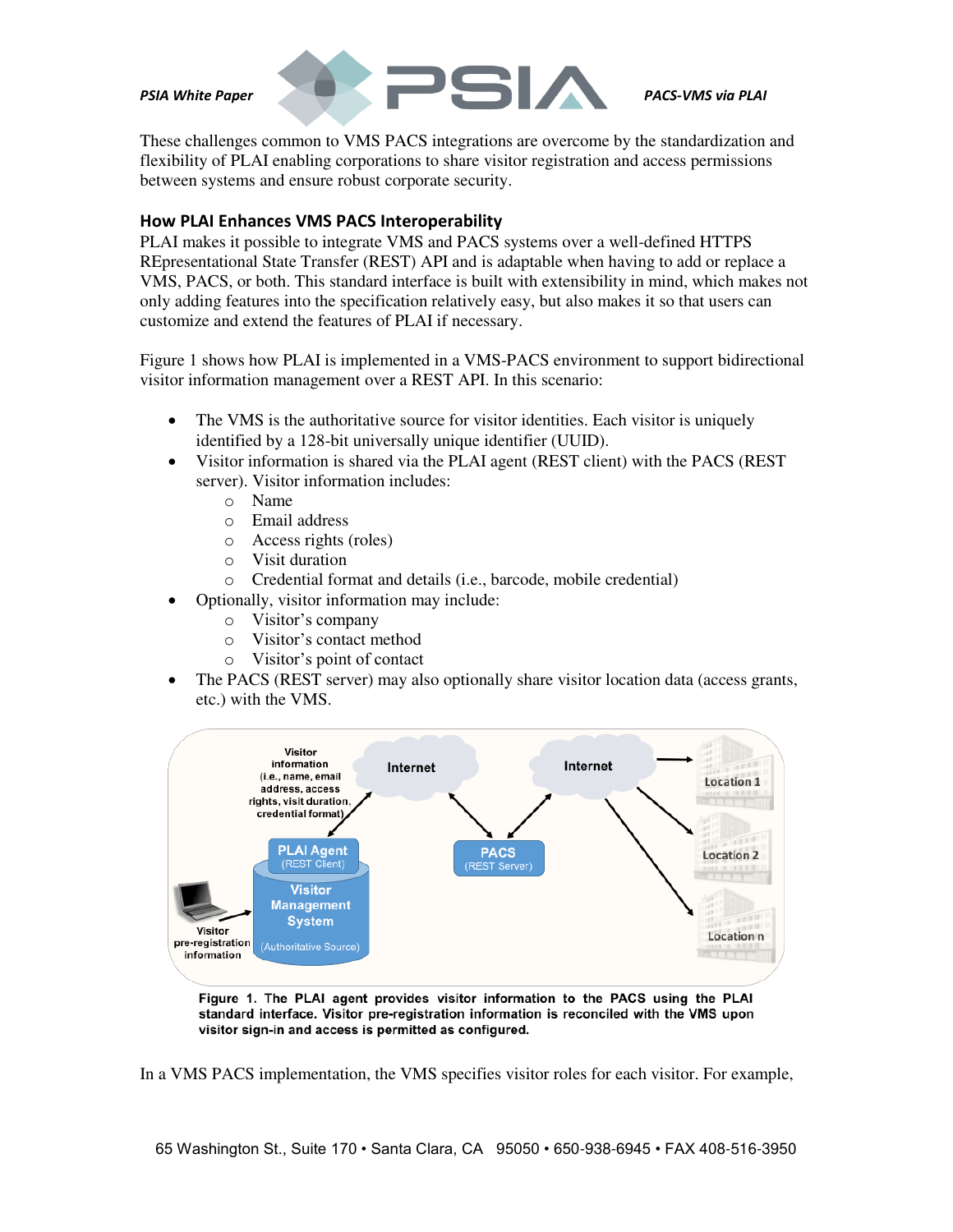



These challenges common to VMS PACS integrations are overcome by the standardization and flexibility of PLAI enabling corporations to share visitor registration and access permissions between systems and ensure robust corporate security.

## **How PLAI Enhances VMS PACS Interoperability**

PLAI makes it possible to integrate VMS and PACS systems over a well-defined HTTPS REpresentational State Transfer (REST) API and is adaptable when having to add or replace a VMS, PACS, or both. This standard interface is built with extensibility in mind, which makes not only adding features into the specification relatively easy, but also makes it so that users can customize and extend the features of PLAI if necessary.

Figure 1 shows how PLAI is implemented in a VMS-PACS environment to support bidirectional visitor information management over a REST API. In this scenario:

- The VMS is the authoritative source for visitor identities. Each visitor is uniquely identified by a 128-bit universally unique identifier (UUID).
- Visitor information is shared via the PLAI agent (REST client) with the PACS (REST server). Visitor information includes:
	- o Name
	- o Email address
	- o Access rights (roles)
	- o Visit duration
	- o Credential format and details (i.e., barcode, mobile credential)
- Optionally, visitor information may include:
	- o Visitor's company
	- o Visitor's contact method
	- o Visitor's point of contact
- The PACS (REST server) may also optionally share visitor location data (access grants, etc.) with the VMS.



Figure 1. The PLAI agent provides visitor information to the PACS using the PLAI standard interface. Visitor pre-registration information is reconciled with the VMS upon visitor sign-in and access is permitted as configured.

In a VMS PACS implementation, the VMS specifies visitor roles for each visitor. For example,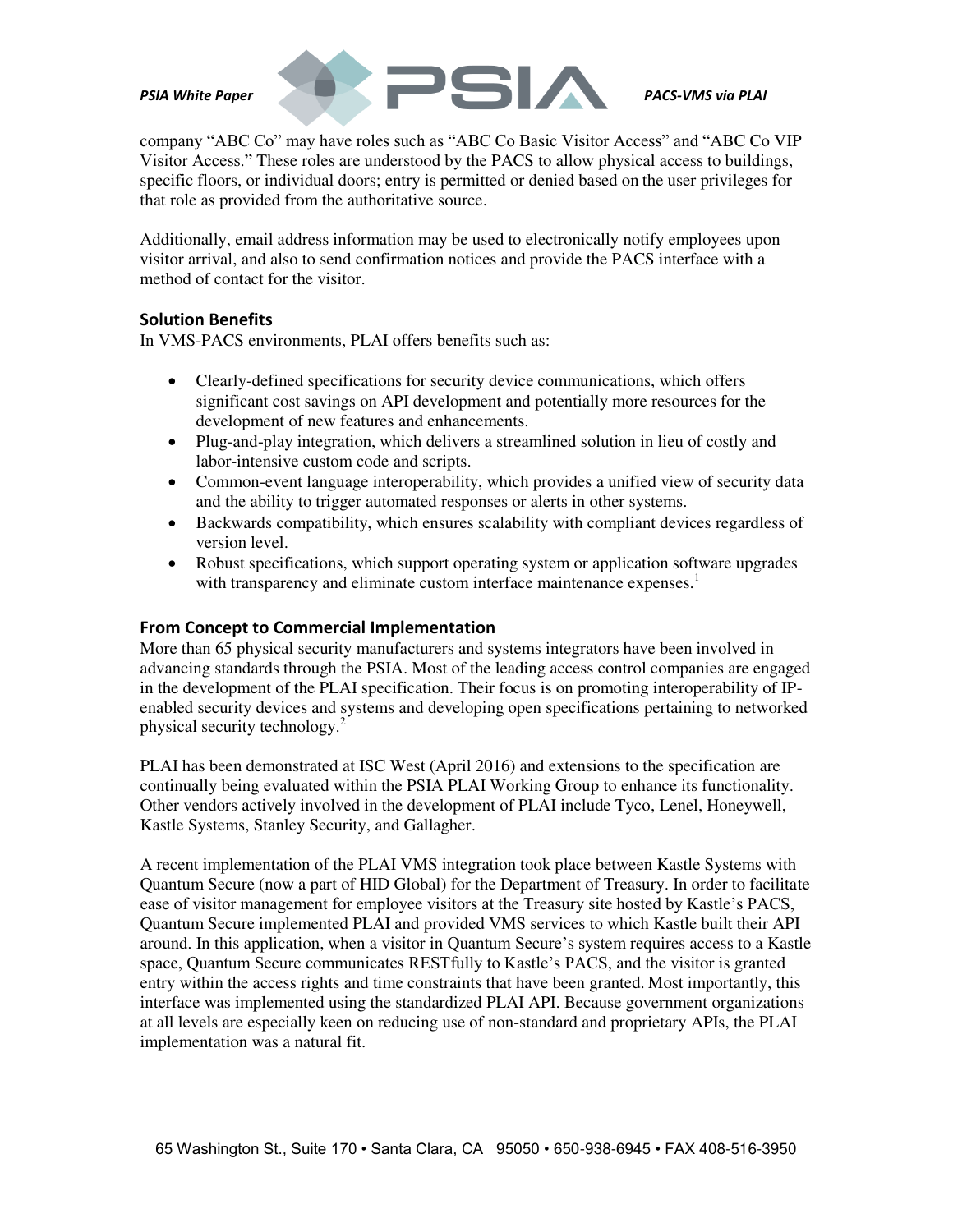

company "ABC Co" may have roles such as "ABC Co Basic Visitor Access" and "ABC Co VIP Visitor Access." These roles are understood by the PACS to allow physical access to buildings, specific floors, or individual doors; entry is permitted or denied based on the user privileges for that role as provided from the authoritative source.

Additionally, email address information may be used to electronically notify employees upon visitor arrival, and also to send confirmation notices and provide the PACS interface with a method of contact for the visitor.

### **Solution Benefits**

In VMS-PACS environments, PLAI offers benefits such as:

- Clearly-defined specifications for security device communications, which offers significant cost savings on API development and potentially more resources for the development of new features and enhancements.
- Plug-and-play integration, which delivers a streamlined solution in lieu of costly and labor-intensive custom code and scripts.
- Common-event language interoperability, which provides a unified view of security data and the ability to trigger automated responses or alerts in other systems.
- Backwards compatibility, which ensures scalability with compliant devices regardless of version level.
- Robust specifications, which support operating system or application software upgrades with transparency and eliminate custom interface maintenance expenses.<sup>1</sup>

### **From Concept to Commercial Implementation**

More than 65 physical security manufacturers and systems integrators have been involved in advancing standards through the PSIA. Most of the leading access control companies are engaged in the development of the PLAI specification. Their focus is on promoting interoperability of IPenabled security devices and systems and developing open specifications pertaining to networked physical security technology. $2^{2}$ 

PLAI has been demonstrated at ISC West (April 2016) and extensions to the specification are continually being evaluated within the PSIA PLAI Working Group to enhance its functionality. Other vendors actively involved in the development of PLAI include Tyco, Lenel, Honeywell, Kastle Systems, Stanley Security, and Gallagher.

A recent implementation of the PLAI VMS integration took place between Kastle Systems with Quantum Secure (now a part of HID Global) for the Department of Treasury. In order to facilitate ease of visitor management for employee visitors at the Treasury site hosted by Kastle's PACS, Quantum Secure implemented PLAI and provided VMS services to which Kastle built their API around. In this application, when a visitor in Quantum Secure's system requires access to a Kastle space, Quantum Secure communicates RESTfully to Kastle's PACS, and the visitor is granted entry within the access rights and time constraints that have been granted. Most importantly, this interface was implemented using the standardized PLAI API. Because government organizations at all levels are especially keen on reducing use of non-standard and proprietary APIs, the PLAI implementation was a natural fit.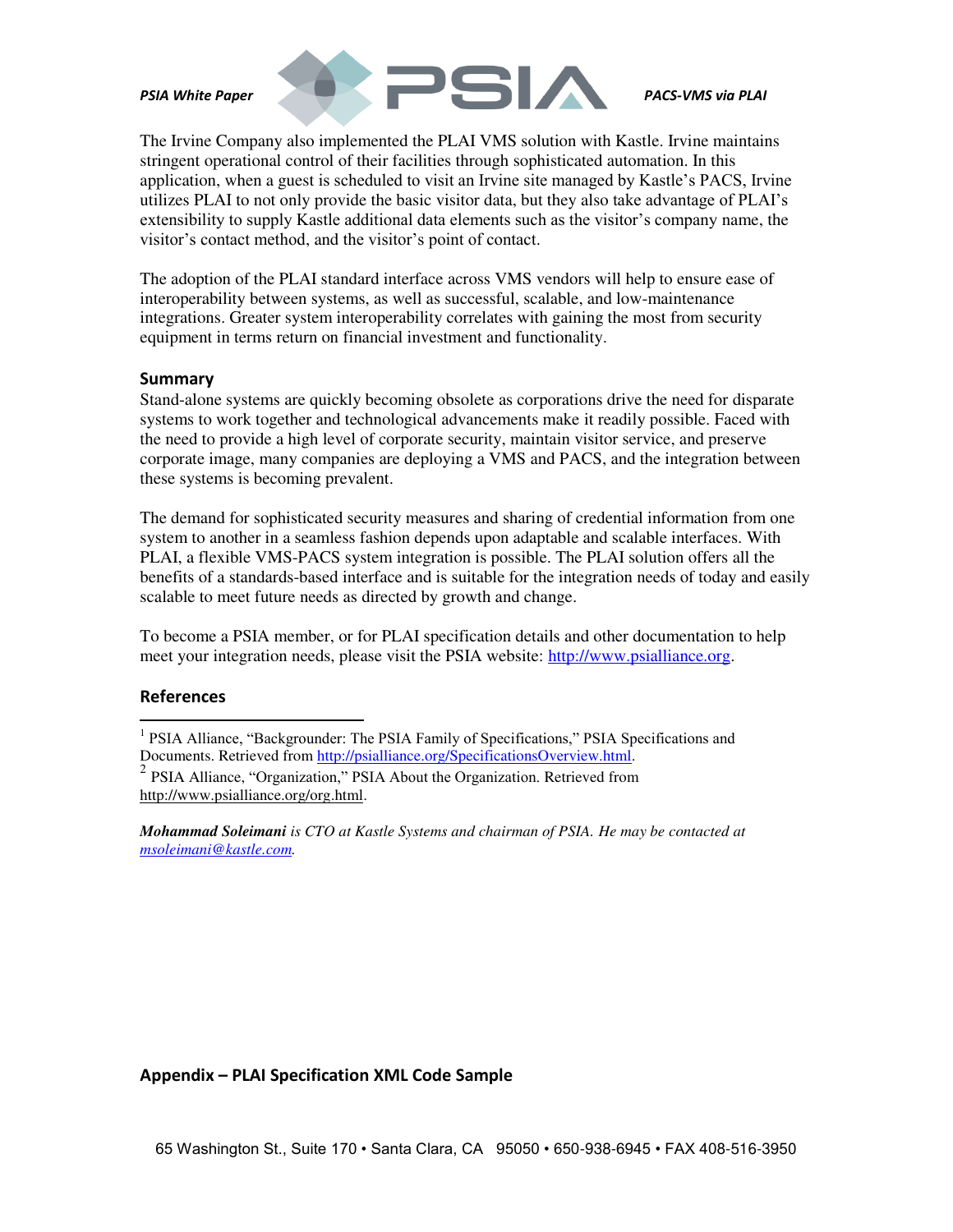

The Irvine Company also implemented the PLAI VMS solution with Kastle. Irvine maintains stringent operational control of their facilities through sophisticated automation. In this application, when a guest is scheduled to visit an Irvine site managed by Kastle's PACS, Irvine utilizes PLAI to not only provide the basic visitor data, but they also take advantage of PLAI's extensibility to supply Kastle additional data elements such as the visitor's company name, the visitor's contact method, and the visitor's point of contact.

The adoption of the PLAI standard interface across VMS vendors will help to ensure ease of interoperability between systems, as well as successful, scalable, and low-maintenance integrations. Greater system interoperability correlates with gaining the most from security equipment in terms return on financial investment and functionality.

#### **Summary**

Stand-alone systems are quickly becoming obsolete as corporations drive the need for disparate systems to work together and technological advancements make it readily possible. Faced with the need to provide a high level of corporate security, maintain visitor service, and preserve corporate image, many companies are deploying a VMS and PACS, and the integration between these systems is becoming prevalent.

The demand for sophisticated security measures and sharing of credential information from one system to another in a seamless fashion depends upon adaptable and scalable interfaces. With PLAI, a flexible VMS-PACS system integration is possible. The PLAI solution offers all the benefits of a standards-based interface and is suitable for the integration needs of today and easily scalable to meet future needs as directed by growth and change.

To become a PSIA member, or for PLAI specification details and other documentation to help meet your integration needs, please visit the PSIA website: [http://www.psialliance.org.](http://www.psialliance.org/)

### **References**

<sup>1</sup> PSIA Alliance, "Backgrounder: The PSIA Family of Specifications," PSIA Specifications and Documents. Retrieved from [http://psialliance.org/SpecificationsOverview.html.](http://psialliance.org/SpecificationsOverview.html) 2 PSIA Alliance, "Organization," PSIA About the Organization. Retrieved from [http://www.psialliance.org/org.html.](http://www.psialliance.org/org.html)

*Mohammad Soleimani is CTO at Kastle Systems and chairman of PSIA. He may be contacted at [msoleimani@kastle.com.](mailto:msoleimani@kastle.com)* 

### **Appendix – PLAI Specification XML Code Sample**